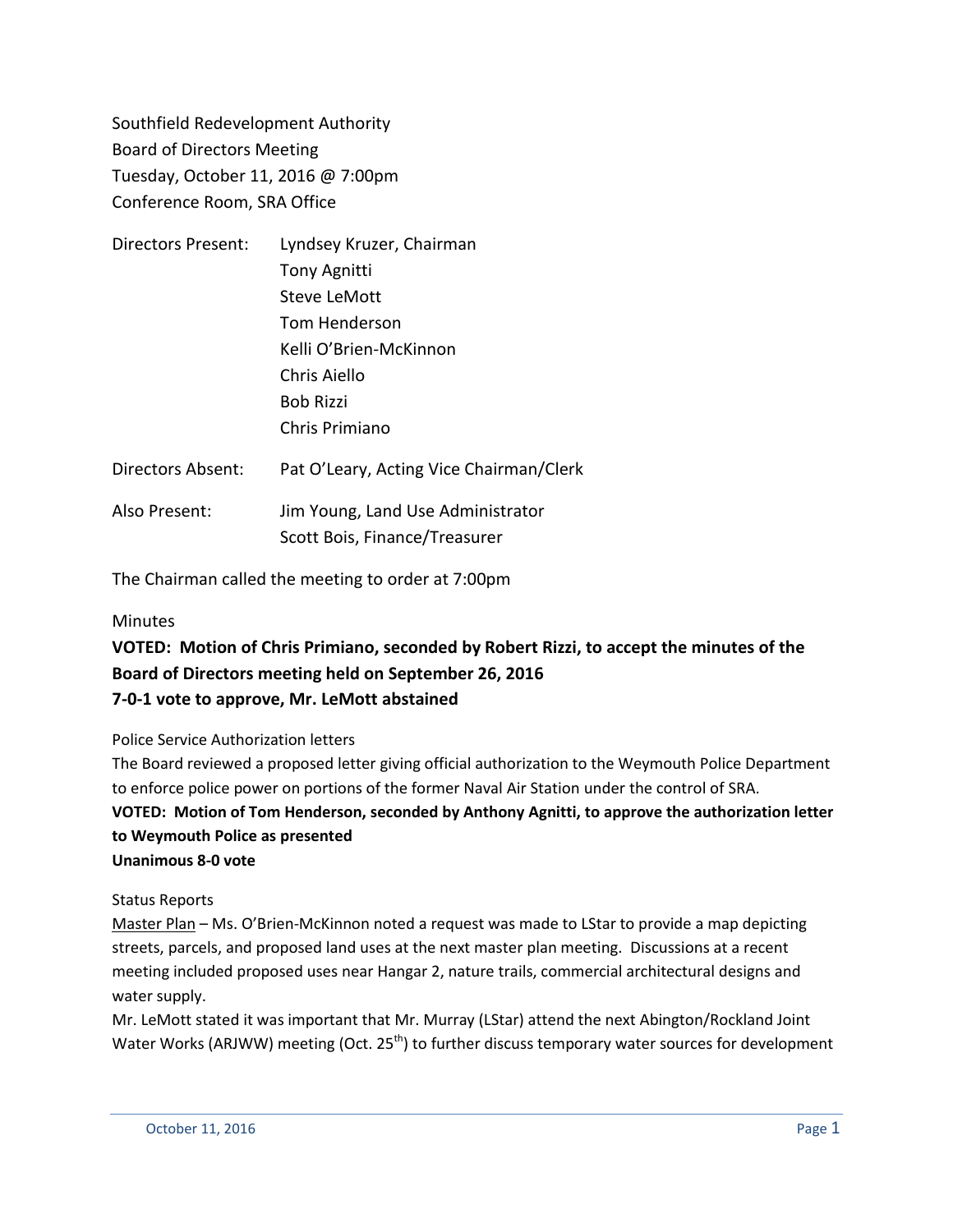Southfield Redevelopment Authority Board of Directors Meeting Tuesday, October 11, 2016 @ 7:00pm Conference Room, SRA Office

| <b>Directors Present:</b> | Lyndsey Kruzer, Chairman                |
|---------------------------|-----------------------------------------|
|                           | <b>Tony Agnitti</b>                     |
|                           | Steve LeMott                            |
|                           | Tom Henderson                           |
|                           | Kelli O'Brien-McKinnon                  |
|                           | Chris Aiello                            |
|                           | <b>Bob Rizzi</b>                        |
|                           | Chris Primiano                          |
| <b>Directors Absent:</b>  | Pat O'Leary, Acting Vice Chairman/Clerk |
|                           |                                         |

Also Present: Jim Young, Land Use Administrator Scott Bois, Finance/Treasurer

The Chairman called the meeting to order at 7:00pm

### **Minutes**

## **VOTED: Motion of Chris Primiano, seconded by Robert Rizzi, to accept the minutes of the Board of Directors meeting held on September 26, 2016 7-0-1 vote to approve, Mr. LeMott abstained**

#### Police Service Authorization letters

The Board reviewed a proposed letter giving official authorization to the Weymouth Police Department to enforce police power on portions of the former Naval Air Station under the control of SRA.

## **VOTED: Motion of Tom Henderson, seconded by Anthony Agnitti, to approve the authorization letter to Weymouth Police as presented**

#### **Unanimous 8-0 vote**

### Status Reports

Master Plan - Ms. O'Brien-McKinnon noted a request was made to LStar to provide a map depicting streets, parcels, and proposed land uses at the next master plan meeting. Discussions at a recent meeting included proposed uses near Hangar 2, nature trails, commercial architectural designs and water supply.

Mr. LeMott stated it was important that Mr. Murray (LStar) attend the next Abington/Rockland Joint Water Works (ARJWW) meeting (Oct. 25<sup>th</sup>) to further discuss temporary water sources for development